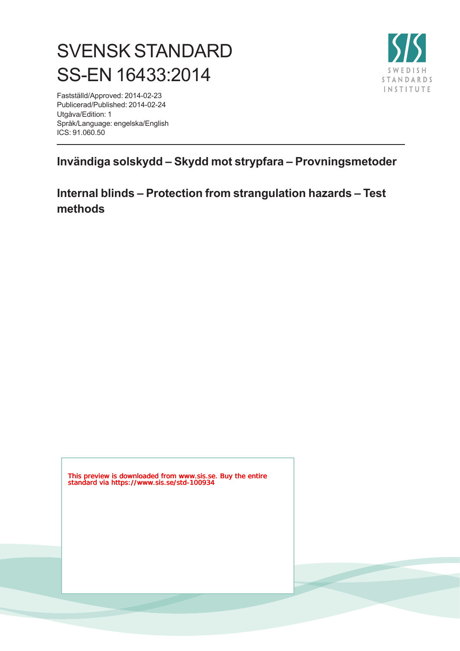# SVENSK STANDARD SS-EN 16433:2014



Fastställd/Approved: 2014-02-23 Publicerad/Published: 2014-02-24 Utgåva/Edition: 1 Språk/Language: engelska/English ICS: 91.060.50

**Invändiga solskydd – Skydd mot strypfara – Provningsmetoder**

**Internal blinds – Protection from strangulation hazards – Test methods**

This preview is downloaded from www.sis.se. Buy the entire standard via https://www.sis.se/std-100934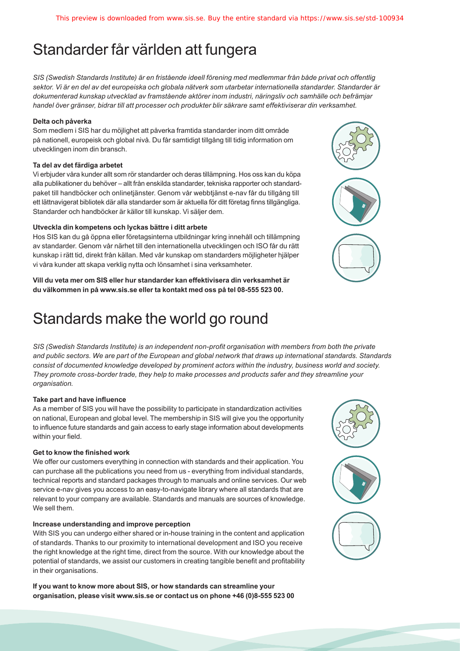## Standarder får världen att fungera

*SIS (Swedish Standards Institute) är en fristående ideell förening med medlemmar från både privat och offentlig sektor. Vi är en del av det europeiska och globala nätverk som utarbetar internationella standarder. Standarder är dokumenterad kunskap utvecklad av framstående aktörer inom industri, näringsliv och samhälle och befrämjar handel över gränser, bidrar till att processer och produkter blir säkrare samt effektiviserar din verksamhet.* 

#### **Delta och påverka**

Som medlem i SIS har du möjlighet att påverka framtida standarder inom ditt område på nationell, europeisk och global nivå. Du får samtidigt tillgång till tidig information om utvecklingen inom din bransch.

### **Ta del av det färdiga arbetet**

Vi erbjuder våra kunder allt som rör standarder och deras tillämpning. Hos oss kan du köpa alla publikationer du behöver – allt från enskilda standarder, tekniska rapporter och standardpaket till handböcker och onlinetjänster. Genom vår webbtjänst e-nav får du tillgång till ett lättnavigerat bibliotek där alla standarder som är aktuella för ditt företag finns tillgängliga. Standarder och handböcker är källor till kunskap. Vi säljer dem.

#### **Utveckla din kompetens och lyckas bättre i ditt arbete**

Hos SIS kan du gå öppna eller företagsinterna utbildningar kring innehåll och tillämpning av standarder. Genom vår närhet till den internationella utvecklingen och ISO får du rätt kunskap i rätt tid, direkt från källan. Med vår kunskap om standarders möjligheter hjälper vi våra kunder att skapa verklig nytta och lönsamhet i sina verksamheter.

**Vill du veta mer om SIS eller hur standarder kan effektivisera din verksamhet är du välkommen in på www.sis.se eller ta kontakt med oss på tel 08-555 523 00.**

## Standards make the world go round

*SIS (Swedish Standards Institute) is an independent non-profit organisation with members from both the private and public sectors. We are part of the European and global network that draws up international standards. Standards consist of documented knowledge developed by prominent actors within the industry, business world and society. They promote cross-border trade, they help to make processes and products safer and they streamline your organisation.*

#### **Take part and have influence**

As a member of SIS you will have the possibility to participate in standardization activities on national, European and global level. The membership in SIS will give you the opportunity to influence future standards and gain access to early stage information about developments within your field.

#### **Get to know the finished work**

We offer our customers everything in connection with standards and their application. You can purchase all the publications you need from us - everything from individual standards, technical reports and standard packages through to manuals and online services. Our web service e-nav gives you access to an easy-to-navigate library where all standards that are relevant to your company are available. Standards and manuals are sources of knowledge. We sell them.

#### **Increase understanding and improve perception**

With SIS you can undergo either shared or in-house training in the content and application of standards. Thanks to our proximity to international development and ISO you receive the right knowledge at the right time, direct from the source. With our knowledge about the potential of standards, we assist our customers in creating tangible benefit and profitability in their organisations.

**If you want to know more about SIS, or how standards can streamline your organisation, please visit www.sis.se or contact us on phone +46 (0)8-555 523 00**



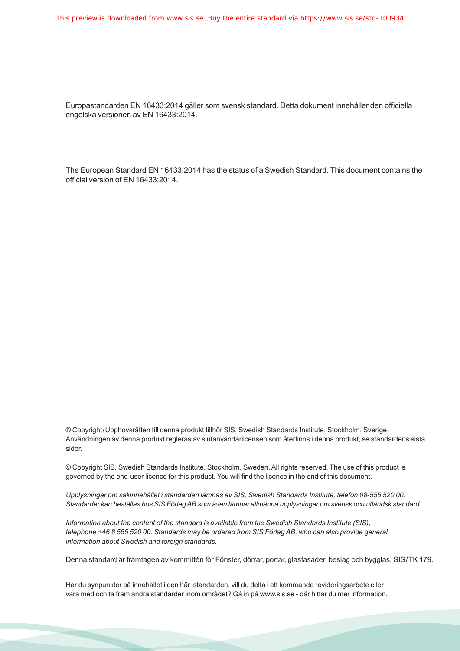Europastandarden EN 16433:2014 gäller som svensk standard. Detta dokument innehåller den officiella engelska versionen av EN 16433:2014.

The European Standard EN 16433:2014 has the status of a Swedish Standard. This document contains the official version of EN 16433:2014.

© Copyright / Upphovsrätten till denna produkt tillhör SIS, Swedish Standards Institute, Stockholm, Sverige. Användningen av denna produkt regleras av slutanvändarlicensen som återfinns i denna produkt, se standardens sista sidor.

© Copyright SIS, Swedish Standards Institute, Stockholm, Sweden. All rights reserved. The use of this product is governed by the end-user licence for this product. You will find the licence in the end of this document.

*Upplysningar om sakinnehållet i standarden lämnas av SIS, Swedish Standards Institute, telefon 08-555 520 00. Standarder kan beställas hos SIS Förlag AB som även lämnar allmänna upplysningar om svensk och utländsk standard.*

*Information about the content of the standard is available from the Swedish Standards Institute (SIS), telephone +46 8 555 520 00. Standards may be ordered from SIS Förlag AB, who can also provide general information about Swedish and foreign standards.*

Denna standard är framtagen av kommittén för Fönster, dörrar, portar, glasfasader, beslag och bygglas, SIS / TK 179.

Har du synpunkter på innehållet i den här standarden, vill du delta i ett kommande revideringsarbete eller vara med och ta fram andra standarder inom området? Gå in på www.sis.se - där hittar du mer information.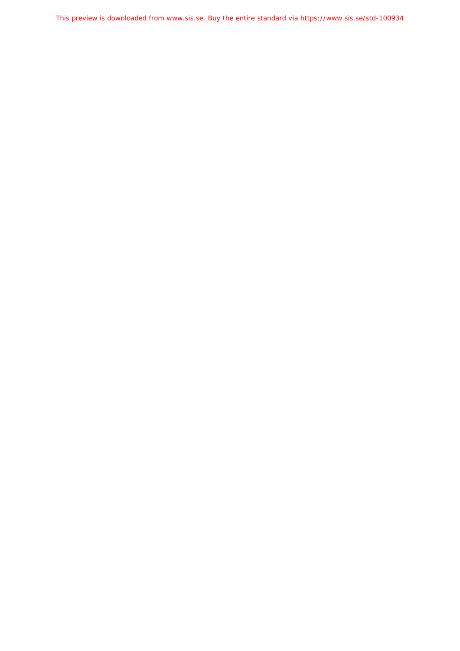This preview is downloaded from www.sis.se. Buy the entire standard via https://www.sis.se/std-100934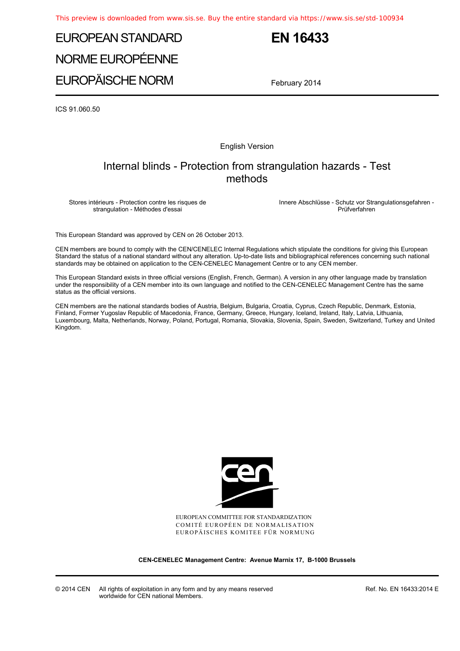## EUROPEAN STANDARD NORME EUROPÉENNE EUROPÄISCHE NORM

## **EN 16433**

February 2014

ICS 91.060.50

English Version

## Internal blinds - Protection from strangulation hazards - Test methods

Stores intérieurs - Protection contre les risques de strangulation - Méthodes d'essai

 Innere Abschlüsse - Schutz vor Strangulationsgefahren - Prüfverfahren

This European Standard was approved by CEN on 26 October 2013.

CEN members are bound to comply with the CEN/CENELEC Internal Regulations which stipulate the conditions for giving this European Standard the status of a national standard without any alteration. Up-to-date lists and bibliographical references concerning such national standards may be obtained on application to the CEN-CENELEC Management Centre or to any CEN member.

This European Standard exists in three official versions (English, French, German). A version in any other language made by translation under the responsibility of a CEN member into its own language and notified to the CEN-CENELEC Management Centre has the same status as the official versions.

CEN members are the national standards bodies of Austria, Belgium, Bulgaria, Croatia, Cyprus, Czech Republic, Denmark, Estonia, Finland, Former Yugoslav Republic of Macedonia, France, Germany, Greece, Hungary, Iceland, Ireland, Italy, Latvia, Lithuania, Luxembourg, Malta, Netherlands, Norway, Poland, Portugal, Romania, Slovakia, Slovenia, Spain, Sweden, Switzerland, Turkey and United Kingdom.



EUROPEAN COMMITTEE FOR STANDARDIZATION COMITÉ EUROPÉEN DE NORMALISATION EUROPÄISCHES KOMITEE FÜR NORMUNG

**CEN-CENELEC Management Centre: Avenue Marnix 17, B-1000 Brussels** 

Ref. No. EN 16433:2014 E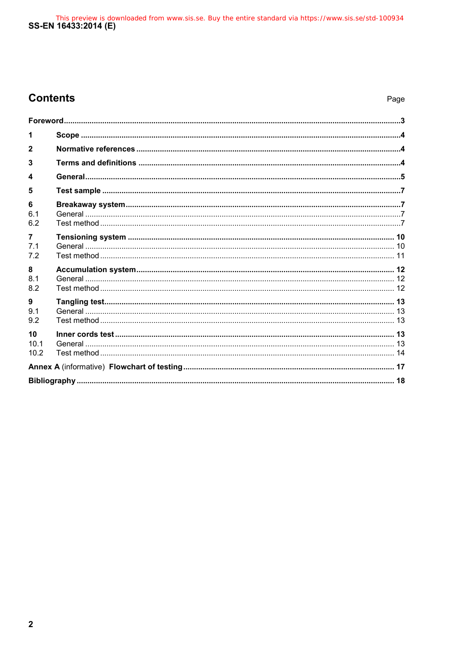This preview is downloaded from www.sis.se. Buy the entire standard via https://www.sis.se/std-100934<br>SS-EN 16433:2014 (E)

## **Contents**

| 2                             |  |  |
|-------------------------------|--|--|
| 3                             |  |  |
| $\boldsymbol{4}$              |  |  |
| 5                             |  |  |
| 6<br>6.1<br>6.2               |  |  |
| 7<br>7.1<br>7.2               |  |  |
| 8<br>8.1<br>8.2               |  |  |
| 9<br>9.1<br>9.2               |  |  |
| 10<br>10 <sub>1</sub><br>10.2 |  |  |
|                               |  |  |
|                               |  |  |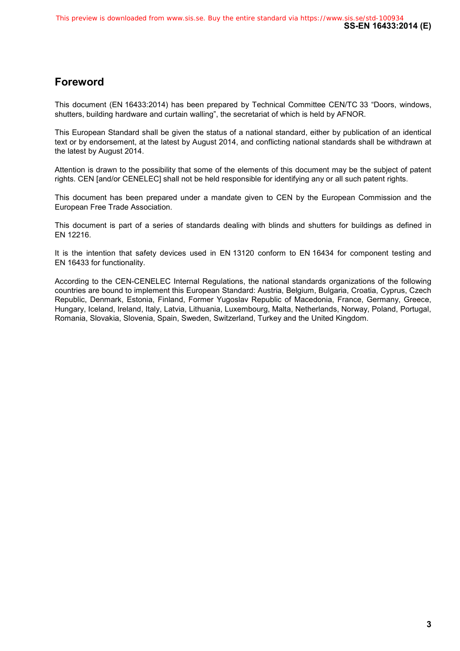## <span id="page-6-0"></span>**Foreword**

This document (EN 16433:2014) has been prepared by Technical Committee CEN/TC 33 "Doors, windows, shutters, building hardware and curtain walling", the secretariat of which is held by AFNOR.

This European Standard shall be given the status of a national standard, either by publication of an identical text or by endorsement, at the latest by August 2014, and conflicting national standards shall be withdrawn at the latest by August 2014.

Attention is drawn to the possibility that some of the elements of this document may be the subject of patent rights. CEN [and/or CENELEC] shall not be held responsible for identifying any or all such patent rights.

This document has been prepared under a mandate given to CEN by the European Commission and the European Free Trade Association.

This document is part of a series of standards dealing with blinds and shutters for buildings as defined in EN 12216.

It is the intention that safety devices used in EN 13120 conform to EN 16434 for component testing and EN 16433 for functionality.

According to the CEN-CENELEC Internal Regulations, the national standards organizations of the following countries are bound to implement this European Standard: Austria, Belgium, Bulgaria, Croatia, Cyprus, Czech Republic, Denmark, Estonia, Finland, Former Yugoslav Republic of Macedonia, France, Germany, Greece, Hungary, Iceland, Ireland, Italy, Latvia, Lithuania, Luxembourg, Malta, Netherlands, Norway, Poland, Portugal, Romania, Slovakia, Slovenia, Spain, Sweden, Switzerland, Turkey and the United Kingdom.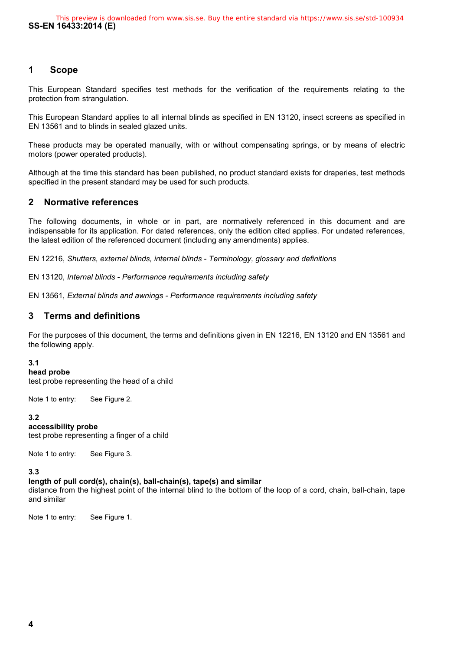## <span id="page-7-0"></span>**1 Scope**

This European Standard specifies test methods for the verification of the requirements relating to the protection from strangulation.

This European Standard applies to all internal blinds as specified in EN 13120, insect screens as specified in EN 13561 and to blinds in sealed glazed units.

These products may be operated manually, with or without compensating springs, or by means of electric motors (power operated products).

Although at the time this standard has been published, no product standard exists for draperies, test methods specified in the present standard may be used for such products.

## <span id="page-7-1"></span>**2 Normative references**

The following documents, in whole or in part, are normatively referenced in this document and are indispensable for its application. For dated references, only the edition cited applies. For undated references, the latest edition of the referenced document (including any amendments) applies.

EN 12216, *Shutters, external blinds, internal blinds - Terminology, glossary and definitions*

EN 13120, *Internal blinds - Performance requirements including safety*

EN 13561, *External blinds and awnings - Performance requirements including safety*

## <span id="page-7-2"></span>**3 Terms and definitions**

For the purposes of this document, the terms and definitions given in EN 12216, EN 13120 and EN 13561 and the following apply.

### **3.1**

**head probe**

test probe representing the head of a child

Note 1 to entry: See Figure 2.

### **3.2**

**accessibility probe** test probe representing a finger of a child

Note 1 to entry: See Figure 3.

## **3.3**

### **length of pull cord(s), chain(s), ball-chain(s), tape(s) and similar**

distance from the highest point of the internal blind to the bottom of the loop of a cord, chain, ball-chain, tape and similar

Note 1 to entry: See Figure 1.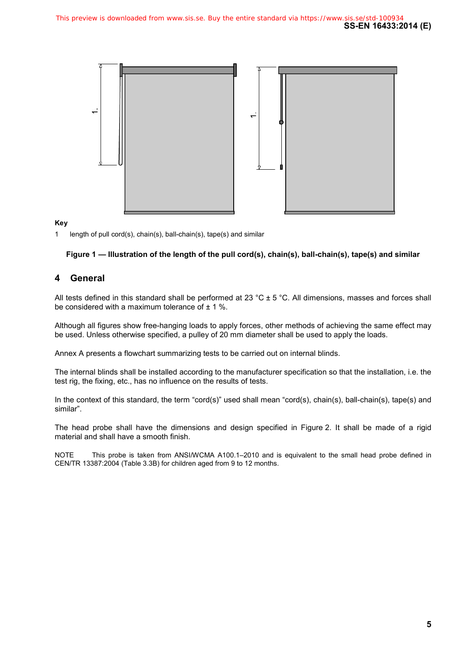

## **Key**

```
1 length of pull cord(s), chain(s), ball-chain(s), tape(s) and similar
```
## **Figure 1 — Illustration of the length of the pull cord(s), chain(s), ball-chain(s), tape(s) and similar**

## <span id="page-8-0"></span>**4 General**

All tests defined in this standard shall be performed at 23 °C  $\pm$  5 °C. All dimensions, masses and forces shall be considered with a maximum tolerance of  $\pm$  1 %.

Although all figures show free-hanging loads to apply forces, other methods of achieving the same effect may be used. Unless otherwise specified, a pulley of 20 mm diameter shall be used to apply the loads.

Annex A presents a flowchart summarizing tests to be carried out on internal blinds.

The internal blinds shall be installed according to the manufacturer specification so that the installation, i.e. the test rig, the fixing, etc., has no influence on the results of tests.

In the context of this standard, the term "cord(s)" used shall mean "cord(s), chain(s), ball-chain(s), tape(s) and similar".

The head probe shall have the dimensions and design specified in Figure 2. It shall be made of a rigid material and shall have a smooth finish.

NOTE This probe is taken from ANSI/WCMA A100.1–2010 and is equivalent to the small head probe defined in CEN/TR 13387:2004 (Table 3.3B) for children aged from 9 to 12 months.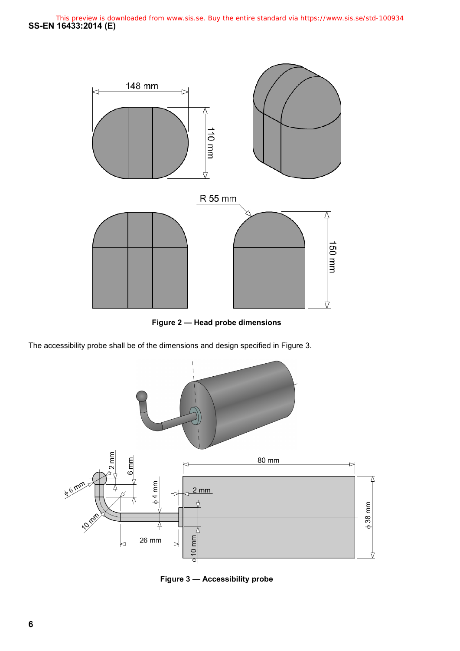

**Figure 2 — Head probe dimensions**

The accessibility probe shall be of the dimensions and design specified in Figure 3.



**Figure 3 — Accessibility probe**